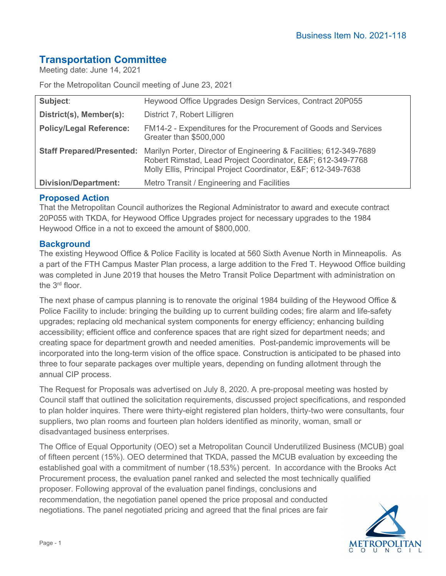# **Transportation Committee**

Meeting date: June 14, 2021

For the Metropolitan Council meeting of June 23, 2021

| Subject:                       | Heywood Office Upgrades Design Services, Contract 20P055                                                                                                                                                                   |
|--------------------------------|----------------------------------------------------------------------------------------------------------------------------------------------------------------------------------------------------------------------------|
| District(s), Member(s):        | District 7, Robert Lilligren                                                                                                                                                                                               |
| <b>Policy/Legal Reference:</b> | FM14-2 - Expenditures for the Procurement of Goods and Services<br>Greater than \$500,000                                                                                                                                  |
|                                | Staff Prepared/Presented: Marilyn Porter, Director of Engineering & Facilities; 612-349-7689<br>Robert Rimstad, Lead Project Coordinator, E&F 612-349-7768<br>Molly Ellis, Principal Project Coordinator, E&F 612-349-7638 |
| <b>Division/Department:</b>    | Metro Transit / Engineering and Facilities                                                                                                                                                                                 |

## **Proposed Action**

That the Metropolitan Council authorizes the Regional Administrator to award and execute contract 20P055 with TKDA, for Heywood Office Upgrades project for necessary upgrades to the 1984 Heywood Office in a not to exceed the amount of \$800,000.

# **Background**

The existing Heywood Office & Police Facility is located at 560 Sixth Avenue North in Minneapolis. As a part of the FTH Campus Master Plan process, a large addition to the Fred T. Heywood Office building was completed in June 2019 that houses the Metro Transit Police Department with administration on the 3rd floor.

The next phase of campus planning is to renovate the original 1984 building of the Heywood Office & Police Facility to include: bringing the building up to current building codes; fire alarm and life-safety upgrades; replacing old mechanical system components for energy efficiency; enhancing building accessibility; efficient office and conference spaces that are right sized for department needs; and creating space for department growth and needed amenities. Post-pandemic improvements will be incorporated into the long-term vision of the office space. Construction is anticipated to be phased into three to four separate packages over multiple years, depending on funding allotment through the annual CIP process.

The Request for Proposals was advertised on July 8, 2020. A pre-proposal meeting was hosted by Council staff that outlined the solicitation requirements, discussed project specifications, and responded to plan holder inquires. There were thirty-eight registered plan holders, thirty-two were consultants, four suppliers, two plan rooms and fourteen plan holders identified as minority, woman, small or disadvantaged business enterprises.

The Office of Equal Opportunity (OEO) set a Metropolitan Council Underutilized Business (MCUB) goal of fifteen percent (15%). OEO determined that TKDA, passed the MCUB evaluation by exceeding the established goal with a commitment of number (18.53%) percent. In accordance with the Brooks Act Procurement process, the evaluation panel ranked and selected the most technically qualified proposer. Following approval of the evaluation panel findings, conclusions and recommendation, the negotiation panel opened the price proposal and conducted negotiations. The panel negotiated pricing and agreed that the final prices are fair